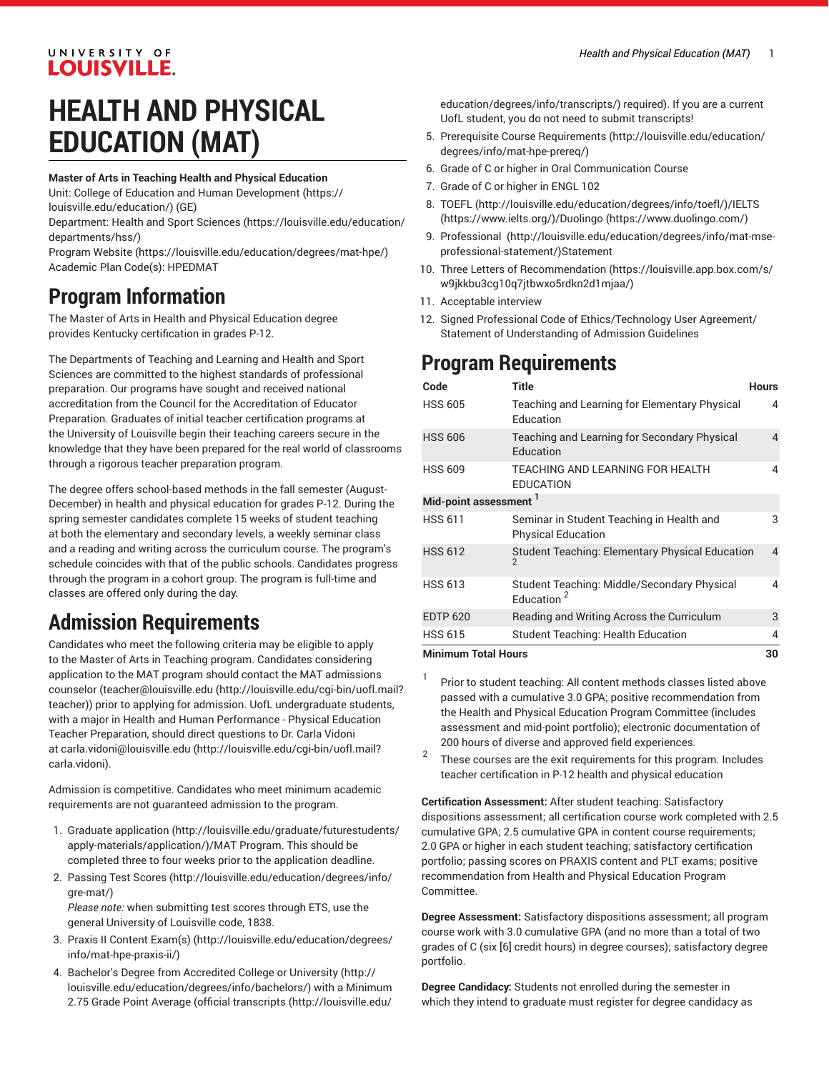#### UNIVERSITY OF **LOUISVILLE.**

# **HEALTH AND PHYSICAL EDUCATION (MAT)**

#### **Master of Arts in Teaching Health and Physical Education**

- Unit: College of Education and Human [Development \(https://](https://louisville.edu/education/) [louisville.edu/education/](https://louisville.edu/education/)) (GE)
- Department: Health and Sport [Sciences \(https://louisville.edu/education/](https://louisville.edu/education/departments/hss/) [departments/hss/](https://louisville.edu/education/departments/hss/))
- [Program](https://louisville.edu/education/degrees/mat-hpe/) Website [\(https://louisville.edu/education/degrees/mat-hpe/](https://louisville.edu/education/degrees/mat-hpe/)) Academic Plan Code(s): HPEDMAT

### **Program Information**

The Master of Arts in Health and Physical Education degree provides Kentucky certification in grades P-12.

The Departments of Teaching and Learning and Health and Sport Sciences are committed to the highest standards of professional preparation. Our programs have sought and received national accreditation from the Council for the Accreditation of Educator Preparation. Graduates of initial teacher certification programs at the University of Louisville begin their teaching careers secure in the knowledge that they have been prepared for the real world of classrooms through a rigorous teacher preparation program.

The degree offers school-based methods in the fall semester (August-December) in health and physical education for grades P-12. During the spring semester candidates complete 15 weeks of student teaching at both the elementary and secondary levels, a weekly seminar class and a reading and writing across the curriculum course. The program's schedule coincides with that of the public schools. Candidates progress through the program in a cohort group. The program is full-time and classes are offered only during the day.

## **Admission Requirements**

Candidates who meet the following criteria may be eligible to apply to the Master of Arts in Teaching program. Candidates considering application to the MAT program should contact the MAT admissions counselor [\(teacher@louisville.edu](http://louisville.edu/cgi-bin/uofl.mail?teacher) [\(http://louisville.edu/cgi-bin/uofl.mail?](http://louisville.edu/cgi-bin/uofl.mail?teacher) [teacher](http://louisville.edu/cgi-bin/uofl.mail?teacher))) prior to applying for admission. UofL undergraduate students, with a major in Health and Human Performance - Physical Education Teacher Preparation, should direct questions to Dr. Carla Vidoni at [carla.vidoni@louisville.edu \(http://louisville.edu/cgi-bin/uofl.mail?](http://louisville.edu/cgi-bin/uofl.mail?carla.vidoni) [carla.vidoni\)](http://louisville.edu/cgi-bin/uofl.mail?carla.vidoni).

Admission is competitive. Candidates who meet minimum academic requirements are not guaranteed admission to the program.

- 1. [Graduate application](http://louisville.edu/graduate/futurestudents/apply-materials/application/) ([http://louisville.edu/graduate/futurestudents/](http://louisville.edu/graduate/futurestudents/apply-materials/application/) [apply-materials/application/](http://louisville.edu/graduate/futurestudents/apply-materials/application/))/MAT Program. This should be completed three to four weeks prior to the application deadline.
- 2. [Passing](http://louisville.edu/education/degrees/info/gre-mat/) Test Scores ([http://louisville.edu/education/degrees/info/](http://louisville.edu/education/degrees/info/gre-mat/) [gre-mat/](http://louisville.edu/education/degrees/info/gre-mat/))

*Please note:* when submitting test scores through ETS, use the general University of Louisville code, 1838.

- 3. [Praxis II Content Exam\(s\)](http://louisville.edu/education/degrees/info/mat-hpe-praxis-ii/) ([http://louisville.edu/education/degrees/](http://louisville.edu/education/degrees/info/mat-hpe-praxis-ii/) [info/mat-hpe-praxis-ii/](http://louisville.edu/education/degrees/info/mat-hpe-praxis-ii/))
- 4. Bachelor's Degree from [Accredited](http://louisville.edu/education/degrees/info/bachelors/) College or University [\(http://](http://louisville.edu/education/degrees/info/bachelors/) [louisville.edu/education/degrees/info/bachelors/](http://louisville.edu/education/degrees/info/bachelors/)) with a Minimum 2.75 Grade Point Average ([official transcripts](http://louisville.edu/education/degrees/info/transcripts/) ([http://louisville.edu/](http://louisville.edu/education/degrees/info/transcripts/)

[education/degrees/info/transcripts/](http://louisville.edu/education/degrees/info/transcripts/)) required). If you are a current UofL student, you do not need to submit transcripts!

- 5. Prerequisite Course [Requirements](http://louisville.edu/education/degrees/info/mat-hpe-prereq/) ([http://louisville.edu/education/](http://louisville.edu/education/degrees/info/mat-hpe-prereq/) [degrees/info/mat-hpe-prereq/\)](http://louisville.edu/education/degrees/info/mat-hpe-prereq/)
- 6. Grade of C or higher in Oral Communication Course
- 7. Grade of C or higher in ENGL 102
- 8. [TOEFL](http://louisville.edu/education/degrees/info/toefl/) (<http://louisville.edu/education/degrees/info/toefl/>)[/IELTS](https://www.ielts.org/) [\(https://www.ielts.org/\)](https://www.ielts.org/)/[Duolingo \(https://www.duolingo.com/](https://www.duolingo.com/))
- 9. [Professional](http://louisville.edu/education/degrees/info/mat-mse-professional-statement/) [\(http://louisville.edu/education/degrees/info/mat-mse](http://louisville.edu/education/degrees/info/mat-mse-professional-statement/)[professional-statement/](http://louisville.edu/education/degrees/info/mat-mse-professional-statement/))Statement
- 10. Three [Letters of Recommendation](https://louisville.app.box.com/s/w9jkkbu3cg10q7jtbwxo5rdkn2d1mjaa/) ([https://louisville.app.box.com/s/](https://louisville.app.box.com/s/w9jkkbu3cg10q7jtbwxo5rdkn2d1mjaa/) [w9jkkbu3cg10q7jtbwxo5rdkn2d1mjaa/](https://louisville.app.box.com/s/w9jkkbu3cg10q7jtbwxo5rdkn2d1mjaa/))
- 11. Acceptable interview
- 12. Signed Professional Code of Ethics/Technology User Agreement/ Statement of Understanding of Admission Guidelines

# **Program Requirements**

| Code                              | <b>Title</b>                                                           | <b>Hours</b> |
|-----------------------------------|------------------------------------------------------------------------|--------------|
| <b>HSS 605</b>                    | Teaching and Learning for Elementary Physical<br>Education             | 4            |
| <b>HSS 606</b>                    | Teaching and Learning for Secondary Physical<br>Education              | 4            |
| <b>HSS 609</b>                    | TEACHING AND LEARNING FOR HEALTH<br><b>EDUCATION</b>                   | 4            |
| Mid-point assessment <sup>1</sup> |                                                                        |              |
| <b>HSS 611</b>                    | Seminar in Student Teaching in Health and<br><b>Physical Education</b> | 3            |
| <b>HSS 612</b>                    | Student Teaching: Elementary Physical Education<br>$\mathfrak{p}$      | 4            |
| <b>HSS 613</b>                    | Student Teaching: Middle/Secondary Physical<br>Education <sup>2</sup>  | 4            |
| <b>EDTP 620</b>                   | Reading and Writing Across the Curriculum                              | 3            |
| <b>HSS 615</b>                    | Student Teaching: Health Education                                     | 4            |
| <b>Minimum Total Hours</b>        |                                                                        | 30           |

- 1 Prior to student teaching: All content methods classes listed above passed with a cumulative 3.0 GPA; positive recommendation from the Health and Physical Education Program Committee (includes assessment and mid-point portfolio); electronic documentation of 200 hours of diverse and approved field experiences.
- 2 These courses are the exit requirements for this program. Includes teacher certification in P-12 health and physical education

**Certification Assessment:** After student teaching: Satisfactory dispositions assessment; all certification course work completed with 2.5 cumulative GPA; 2.5 cumulative GPA in content course requirements; 2.0 GPA or higher in each student teaching; satisfactory certification portfolio; passing scores on PRAXIS content and PLT exams; positive recommendation from Health and Physical Education Program Committee.

**Degree Assessment:** Satisfactory dispositions assessment; all program course work with 3.0 cumulative GPA (and no more than a total of two grades of C (six [6] credit hours) in degree courses); satisfactory degree portfolio.

**Degree Candidacy:** Students not enrolled during the semester in which they intend to graduate must register for degree candidacy as